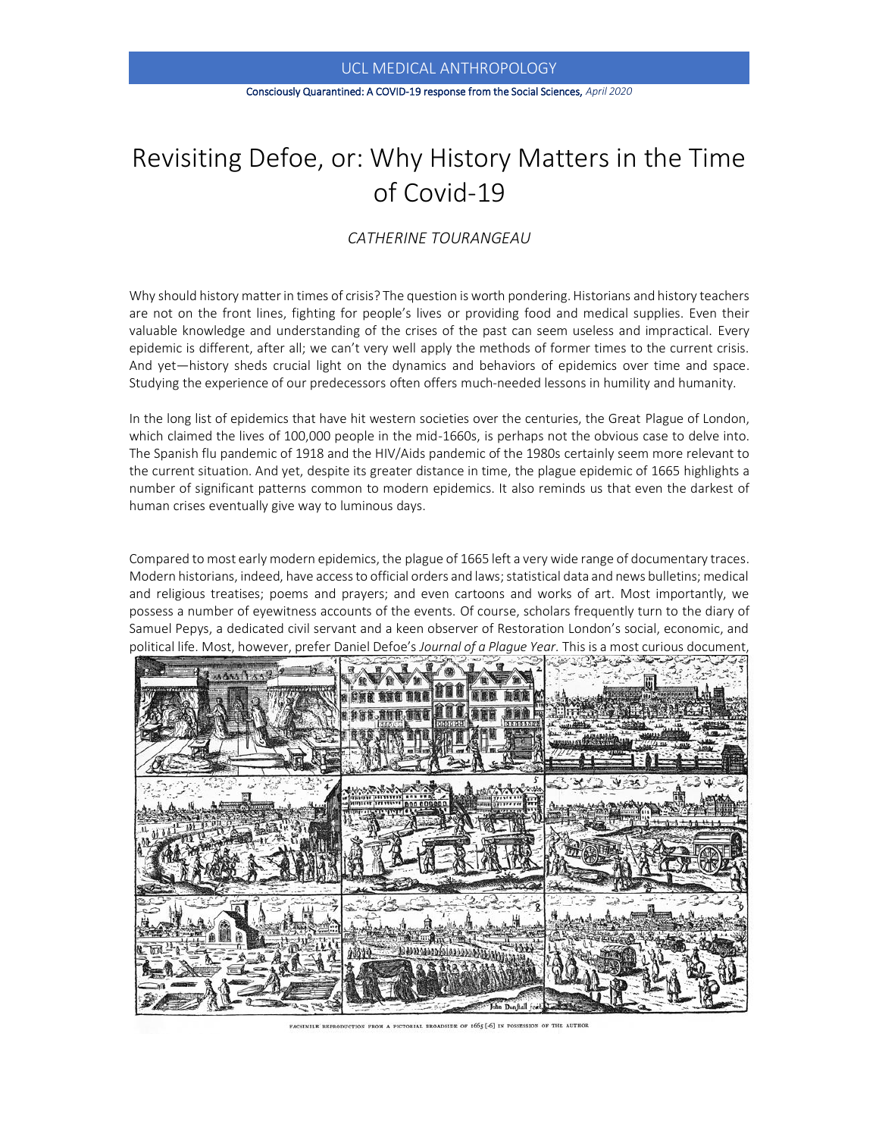#### Consciously Quarantined: A COVID-19 response from the Social Sciences, *April 2020*

# Revisiting Defoe, or: Why History Matters in the Time of Covid-19

# *CATHERINE TOURANGEAU*

Why should history matterin times of crisis? The question is worth pondering. Historians and history teachers are not on the front lines, fighting for people's lives or providing food and medical supplies. Even their valuable knowledge and understanding of the crises of the past can seem useless and impractical. Every epidemic is different, after all; we can't very well apply the methods of former times to the current crisis. And yet—history sheds crucial light on the dynamics and behaviors of epidemics over time and space. Studying the experience of our predecessors often offers much-needed lessons in humility and humanity.

In the long list of epidemics that have hit western societies over the centuries, the Great Plague of London, which claimed the lives of 100,000 people in the mid-1660s, is perhaps not the obvious case to delve into. The Spanish flu pandemic of 1918 and the HIV/Aids pandemic of the 1980s certainly seem more relevant to the current situation. And yet, despite its greater distance in time, the plague epidemic of 1665 highlights a number of significant patterns common to modern epidemics. It also reminds us that even the darkest of human crises eventually give way to luminous days.

Compared to most early modern epidemics, the plague of 1665 left a very wide range of documentary traces. Modern historians, indeed, have access to official orders and laws; statistical data and news bulletins; medical and religious treatises; poems and prayers; and even cartoons and works of art. Most importantly, we possess a number of eyewitness accounts of the events. Of course, scholars frequently turn to the diary of Samuel Pepys, a dedicated civil servant and a keen observer of Restoration London's social, economic, and political life. Most, however, prefer Daniel Defoe's *Journal of a Plague Year.* This is a most curious document,



FACSIMILE REPRODUCTION FROM A PICTORIAL BROADSIDE OF 1665 [-6] IN POSSESSION OF THE AUTHOR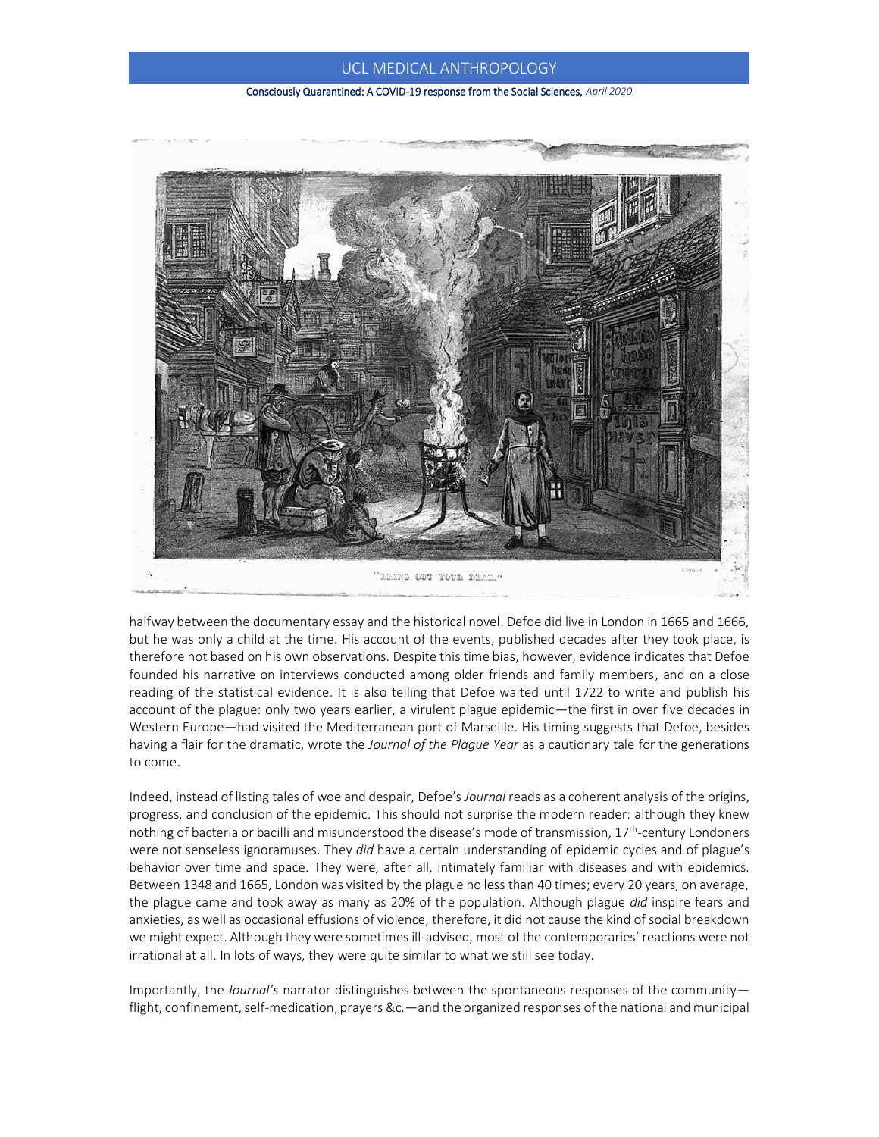#### Consciously Quarantined: A COVID-19 response from the Social Sciences, *April 2020*



halfway between the documentary essay and the historical novel. Defoe did live in London in 1665 and 1666, but he was only a child at the time. His account of the events, published decades after they took place, is therefore not based on his own observations. Despite this time bias, however, evidence indicates that Defoe founded his narrative on interviews conducted among older friends and family members, and on a close reading of the statistical evidence. It is also telling that Defoe waited until 1722 to write and publish his account of the plague: only two years earlier, a virulent plague epidemic—the first in over five decades in Western Europe—had visited the Mediterranean port of Marseille. His timing suggests that Defoe, besides having a flair for the dramatic, wrote the *Journal of the Plague Year* as a cautionary tale for the generations to come.

Indeed, instead of listing tales of woe and despair, Defoe's *Journal* reads as a coherent analysis of the origins, progress, and conclusion of the epidemic. This should not surprise the modern reader: although they knew nothing of bacteria or bacilli and misunderstood the disease's mode of transmission, 17th -century Londoners were not senseless ignoramuses. They *did* have a certain understanding of epidemic cycles and of plague's behavior over time and space. They were, after all, intimately familiar with diseases and with epidemics. Between 1348 and 1665, London was visited by the plague no less than 40 times; every 20 years, on average, the plague came and took away as many as 20% of the population. Although plague *did* inspire fears and anxieties, as well as occasional effusions of violence, therefore, it did not cause the kind of social breakdown we might expect. Although they were sometimes ill-advised, most of the contemporaries' reactions were not irrational at all. In lots of ways, they were quite similar to what we still see today.

Importantly, the *Journal's* narrator distinguishes between the spontaneous responses of the community flight, confinement, self-medication, prayers &c.—and the organized responses of the national and municipal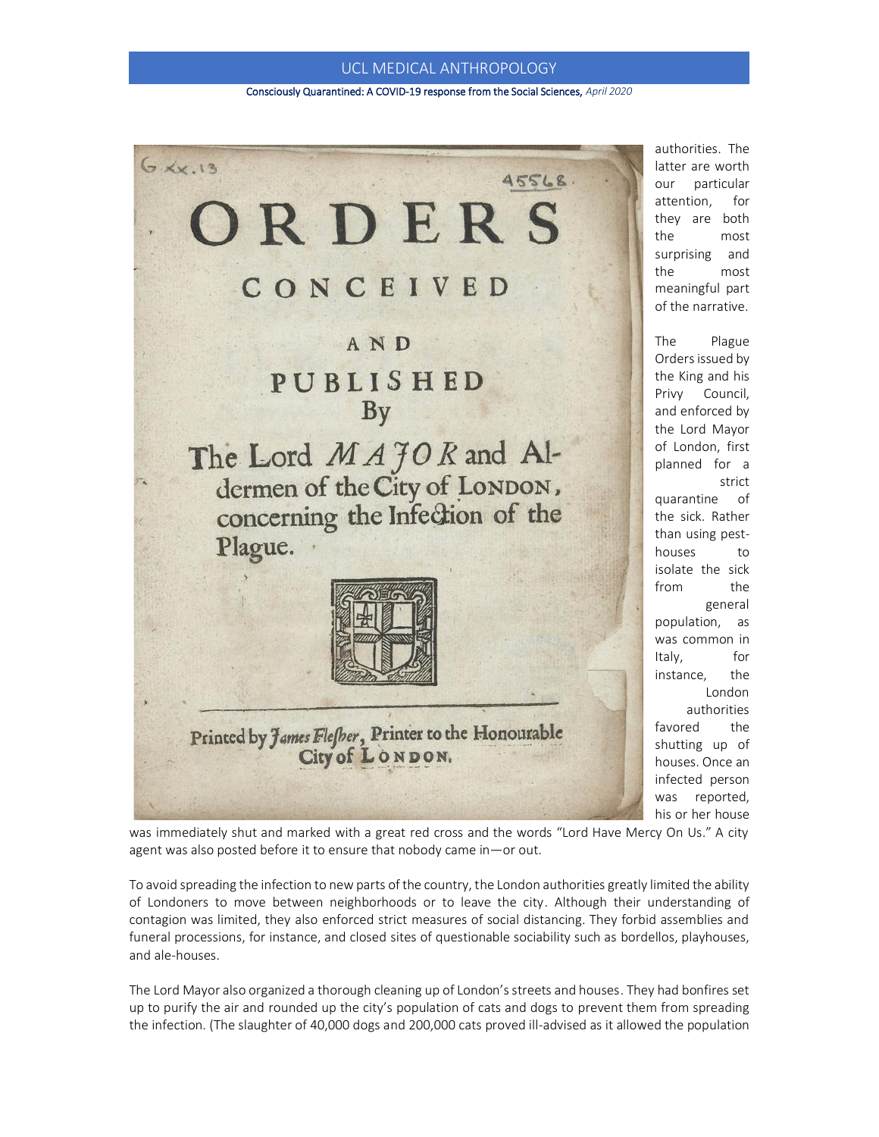#### Consciously Quarantined: A COVID-19 response from the Social Sciences, *April 2020*



authorities. The latter are worth our particular attention, for they are both the most surprising and the most meaningful part of the narrative.

The Plague Orders issued by the King and his Privy Council, and enforced by the Lord Mayor of London, first planned for a strict quarantine of the sick. Rather than using pesthouses to isolate the sick from the general population, as was common in Italy, for instance, the London authorities favored the shutting up of houses. Once an infected person was reported, his or her house

was immediately shut and marked with a great red cross and the words "Lord Have Mercy On Us." A city agent was also posted before it to ensure that nobody came in—or out.

To avoid spreading the infection to new parts of the country, the London authorities greatly limited the ability of Londoners to move between neighborhoods or to leave the city. Although their understanding of contagion was limited, they also enforced strict measures of social distancing. They forbid assemblies and funeral processions, for instance, and closed sites of questionable sociability such as bordellos, playhouses, and ale-houses.

The Lord Mayor also organized a thorough cleaning up of London's streets and houses. They had bonfires set up to purify the air and rounded up the city's population of cats and dogs to prevent them from spreading the infection. (The slaughter of 40,000 dogs and 200,000 cats proved ill-advised as it allowed the population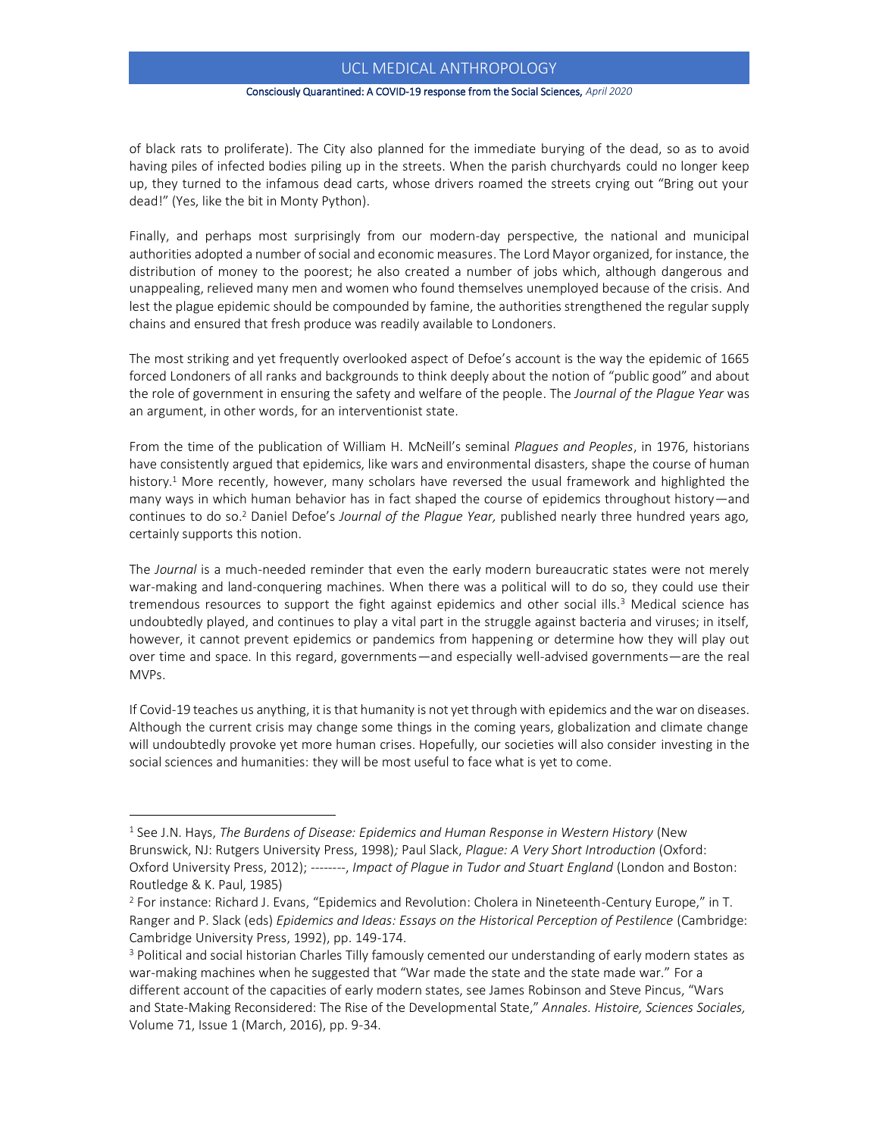#### Consciously Quarantined: A COVID-19 response from the Social Sciences, *April 2020*

of black rats to proliferate). The City also planned for the immediate burying of the dead, so as to avoid having piles of infected bodies piling up in the streets. When the parish churchyards could no longer keep up, they turned to the infamous dead carts, whose drivers roamed the streets crying out "Bring out your dead!" (Yes, like the bit in Monty Python).

Finally, and perhaps most surprisingly from our modern-day perspective, the national and municipal authorities adopted a number of social and economic measures. The Lord Mayor organized, for instance, the distribution of money to the poorest; he also created a number of jobs which, although dangerous and unappealing, relieved many men and women who found themselves unemployed because of the crisis. And lest the plague epidemic should be compounded by famine, the authorities strengthened the regular supply chains and ensured that fresh produce was readily available to Londoners.

The most striking and yet frequently overlooked aspect of Defoe's account is the way the epidemic of 1665 forced Londoners of all ranks and backgrounds to think deeply about the notion of "public good" and about the role of government in ensuring the safety and welfare of the people. The *Journal of the Plague Year* was an argument, in other words, for an interventionist state.

From the time of the publication of William H. McNeill's seminal *Plagues and Peoples*, in 1976, historians have consistently argued that epidemics, like wars and environmental disasters, shape the course of human history.<sup>1</sup> More recently, however, many scholars have reversed the usual framework and highlighted the many ways in which human behavior has in fact shaped the course of epidemics throughout history—and continues to do so. <sup>2</sup> Daniel Defoe's *Journal of the Plague Year,* published nearly three hundred years ago, certainly supports this notion.

The *Journal* is a much-needed reminder that even the early modern bureaucratic states were not merely war-making and land-conquering machines. When there was a political will to do so, they could use their tremendous resources to support the fight against epidemics and other social ills.<sup>3</sup> Medical science has undoubtedly played, and continues to play a vital part in the struggle against bacteria and viruses; in itself, however, it cannot prevent epidemics or pandemics from happening or determine how they will play out over time and space. In this regard, governments—and especially well-advised governments—are the real MVPs.

If Covid-19 teaches us anything, it is that humanity is not yet through with epidemics and the war on diseases. Although the current crisis may change some things in the coming years, globalization and climate change will undoubtedly provoke yet more human crises. Hopefully, our societies will also consider investing in the social sciences and humanities: they will be most useful to face what is yet to come.

<sup>&</sup>lt;sup>1</sup> See J.N. Hays, *The Burdens of Disease: Epidemics and Human Response in Western History (New* Brunswick, NJ: Rutgers University Press, 1998)*;* Paul Slack, *Plague: A Very Short Introduction* (Oxford: Oxford University Press, 2012); --------, *Impact of Plague in Tudor and Stuart England* (London and Boston: Routledge & K. Paul, 1985)

<sup>2</sup> For instance: Richard J. Evans, "Epidemics and Revolution: Cholera in Nineteenth-Century Europe," in T. Ranger and P. Slack (eds) *Epidemics and Ideas: Essays on the Historical Perception of Pestilence* (Cambridge: Cambridge University Press, 1992), pp. 149-174.

<sup>&</sup>lt;sup>3</sup> Political and social historian Charles Tilly famously cemented our understanding of early modern states as war-making machines when he suggested that "War made the state and the state made war." For a different account of the capacities of early modern states, see James Robinson and Steve Pincus, "Wars and State-Making Reconsidered: The Rise of the Developmental State," *Annales. Histoire, Sciences Sociales,*  Volume 71, Issue 1 (March, 2016), pp. 9-34.